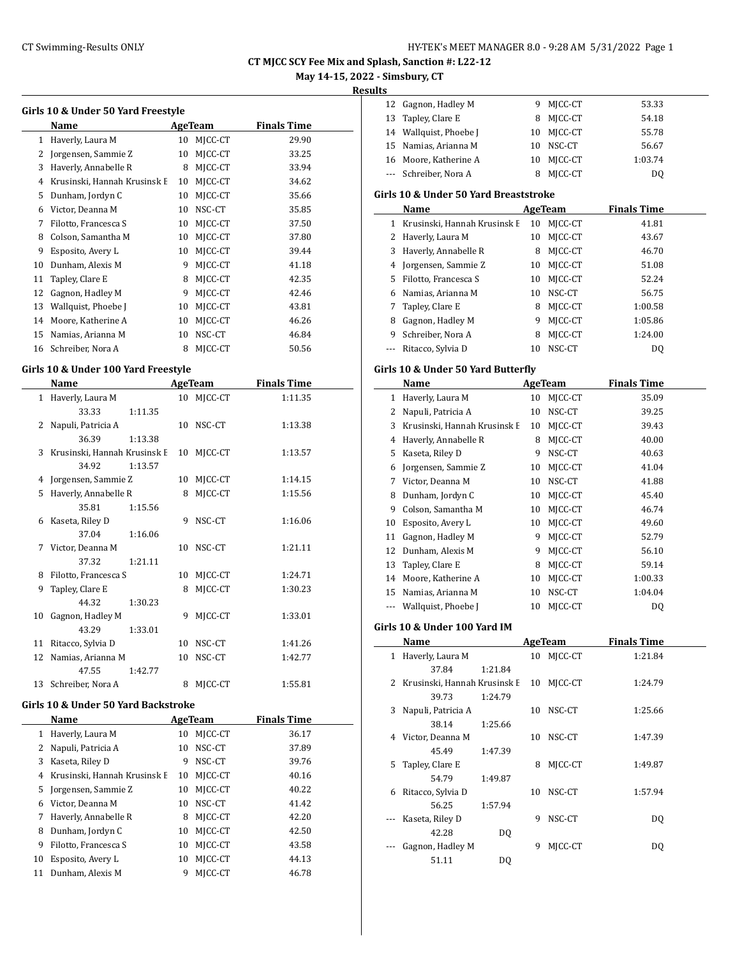# CT Swimming-Results ONLY **EXAMPLE 12 CONCRET MANAGER 8.0 - 9:28 AM 5/31/2022** Page 1

**CT MJCC SCY Fee Mix and Splash, Sanction #: L22-12**

# **May 14-15, 2022 - Simsbury, CT**

**Results**

 $\overline{a}$ 

| Girls 10 & Under 50 Yard Freestyle    |                              |    |         |       |  |  |  |  |
|---------------------------------------|------------------------------|----|---------|-------|--|--|--|--|
| <b>Finals Time</b><br>Name<br>AgeTeam |                              |    |         |       |  |  |  |  |
| 1                                     | Haverly, Laura M             | 10 | MJCC-CT | 29.90 |  |  |  |  |
| 2                                     | Jorgensen, Sammie Z          | 10 | MICC-CT | 33.25 |  |  |  |  |
| 3                                     | Haverly, Annabelle R         | 8  | MJCC-CT | 33.94 |  |  |  |  |
| 4                                     | Krusinski, Hannah Krusinsk E | 10 | MICC-CT | 34.62 |  |  |  |  |
| 5                                     | Dunham, Jordyn C             | 10 | MICC-CT | 35.66 |  |  |  |  |
| 6                                     | Victor, Deanna M             | 10 | NSC-CT  | 35.85 |  |  |  |  |
| 7                                     | Filotto, Francesca S         | 10 | MJCC-CT | 37.50 |  |  |  |  |
| 8                                     | Colson, Samantha M           | 10 | MICC-CT | 37.80 |  |  |  |  |
| 9                                     | Esposito, Avery L            | 10 | MICC-CT | 39.44 |  |  |  |  |
| 10                                    | Dunham, Alexis M             | 9  | MICC-CT | 41.18 |  |  |  |  |
| 11                                    | Tapley, Clare E              | 8  | MICC-CT | 42.35 |  |  |  |  |
| 12                                    | Gagnon, Hadley M             | 9  | MJCC-CT | 42.46 |  |  |  |  |
| 13                                    | Wallquist, Phoebe J          | 10 | MICC-CT | 43.81 |  |  |  |  |
| 14                                    | Moore, Katherine A           | 10 | MICC-CT | 46.26 |  |  |  |  |
| 15                                    | Namias, Arianna M            | 10 | NSC-CT  | 46.84 |  |  |  |  |
| 16                                    | Schreiber, Nora A            | 8  | MICC-CT | 50.56 |  |  |  |  |
|                                       |                              |    |         |       |  |  |  |  |

# **Girls 10 & Under 100 Yard Freestyle**

| Name         |                                |         |    | AgeTeam | <b>Finals Time</b> |  |
|--------------|--------------------------------|---------|----|---------|--------------------|--|
| $\mathbf{1}$ | Haverly, Laura M               |         | 10 | MJCC-CT | 1:11.35            |  |
|              | 33.33                          | 1:11.35 |    |         |                    |  |
| 2            | Napuli, Patricia A             |         | 10 | NSC-CT  | 1:13.38            |  |
|              | 36.39                          | 1:13.38 |    |         |                    |  |
|              | 3 Krusinski, Hannah Krusinsk E |         | 10 | MJCC-CT | 1:13.57            |  |
|              | 34.92                          | 1:13.57 |    |         |                    |  |
| 4            | Jorgensen, Sammie Z            |         | 10 | MJCC-CT | 1:14.15            |  |
| 5            | Haverly, Annabelle R           |         | 8  | MJCC-CT | 1:15.56            |  |
|              | 35.81                          | 1:15.56 |    |         |                    |  |
| 6            | Kaseta, Riley D                |         | 9  | NSC-CT  | 1:16.06            |  |
|              | 37.04                          | 1:16.06 |    |         |                    |  |
| 7            | Victor, Deanna M               |         | 10 | NSC-CT  | 1:21.11            |  |
|              | 37.32                          | 1:21.11 |    |         |                    |  |
| 8            | Filotto, Francesca S           |         | 10 | MJCC-CT | 1:24.71            |  |
| 9            | Tapley, Clare E                |         | 8  | MICC-CT | 1:30.23            |  |
|              | 44.32                          | 1:30.23 |    |         |                    |  |
| 10           | Gagnon, Hadley M               |         | 9  | MJCC-CT | 1:33.01            |  |
|              | 43.29                          | 1:33.01 |    |         |                    |  |
| 11           | Ritacco, Sylvia D              |         | 10 | NSC-CT  | 1:41.26            |  |
| 12           | Namias, Arianna M              |         | 10 | NSC-CT  | 1:42.77            |  |
|              | 47.55                          | 1:42.77 |    |         |                    |  |
| 13           | Schreiber, Nora A              |         | 8  | MJCC-CT | 1:55.81            |  |

#### **Girls 10 & Under 50 Yard Backstroke**

|    | Name                         |    | AgeTeam | <b>Finals Time</b> |
|----|------------------------------|----|---------|--------------------|
| 1  | Haverly, Laura M             | 10 | MICC-CT | 36.17              |
|    | Napuli, Patricia A           | 10 | NSC-CT  | 37.89              |
| 3  | Kaseta, Riley D              | 9  | NSC-CT  | 39.76              |
| 4  | Krusinski, Hannah Krusinsk E | 10 | MICC-CT | 40.16              |
| 5. | Jorgensen, Sammie Z          | 10 | MICC-CT | 40.22              |
| 6  | Victor, Deanna M             | 10 | NSC-CT  | 41.42              |
| 7  | Haverly, Annabelle R         | 8  | MICC-CT | 42.20              |
| 8  | Dunham, Jordyn C             | 10 | MICC-CT | 42.50              |
| 9  | Filotto, Francesca S         | 10 | MICC-CT | 43.58              |
| 10 | Esposito, Avery L            | 10 | MICC-CT | 44.13              |
| 11 | Dunham, Alexis M             | 9  | MICC-CT | 46.78              |

| ıэ |                        |    |           |         |
|----|------------------------|----|-----------|---------|
|    | 12 Gagnon, Hadley M    | 9. | MICC-CT   | 53.33   |
|    | 13 Tapley, Clare E     |    | 8 MICC-CT | 54.18   |
|    | 14 Wallquist, Phoebe J | 10 | MICC-CT   | 55.78   |
|    | 15 Namias, Arianna M   | 10 | NSC-CT    | 56.67   |
|    | 16 Moore, Katherine A  | 10 | MICC-CT   | 1:03.74 |
|    | --- Schreiber, Nora A  |    | MICC-CT   | DO.     |
|    |                        |    |           |         |

#### **Girls 10 & Under 50 Yard Breaststroke**

|    | Name                         |    | AgeTeam | <b>Finals Time</b> |
|----|------------------------------|----|---------|--------------------|
|    | Krusinski, Hannah Krusinsk E | 10 | MICC-CT | 41.81              |
| 2  | Haverly, Laura M             | 10 | MICC-CT | 43.67              |
| 3  | Haverly, Annabelle R         | 8  | MICC-CT | 46.70              |
| 4  | Jorgensen, Sammie Z          | 10 | MICC-CT | 51.08              |
| 5. | Filotto, Francesca S         | 10 | MICC-CT | 52.24              |
| 6  | Namias, Arianna M            | 10 | NSC-CT  | 56.75              |
|    | Tapley, Clare E              | 8  | MJCC-CT | 1:00.58            |
| 8  | Gagnon, Hadley M             | 9  | MICC-CT | 1:05.86            |
| 9  | Schreiber, Nora A            | 8  | MICC-CT | 1:24.00            |
|    | Ritacco, Sylvia D            | 10 | NSC-CT  | D <sub>0</sub>     |

### **Girls 10 & Under 50 Yard Butterfly**

| Name |                              |    | AgeTeam | <b>Finals Time</b> |  |
|------|------------------------------|----|---------|--------------------|--|
| 1    | Haverly, Laura M             | 10 | MJCC-CT | 35.09              |  |
| 2    | Napuli, Patricia A           | 10 | NSC-CT  | 39.25              |  |
| 3    | Krusinski, Hannah Krusinsk E | 10 | MICC-CT | 39.43              |  |
| 4    | Haverly, Annabelle R         | 8  | MICC-CT | 40.00              |  |
| 5    | Kaseta, Riley D              | 9  | NSC-CT  | 40.63              |  |
| 6    | Jorgensen, Sammie Z          | 10 | MJCC-CT | 41.04              |  |
| 7    | Victor, Deanna M             | 10 | NSC-CT  | 41.88              |  |
| 8    | Dunham, Jordyn C             | 10 | MICC-CT | 45.40              |  |
| 9    | Colson, Samantha M           | 10 | MICC-CT | 46.74              |  |
| 10   | Esposito, Avery L            | 10 | MJCC-CT | 49.60              |  |
| 11   | Gagnon, Hadley M             | 9  | MICC-CT | 52.79              |  |
| 12   | Dunham, Alexis M             | 9  | MICC-CT | 56.10              |  |
| 13   | Tapley, Clare E              | 8  | MJCC-CT | 59.14              |  |
| 14   | Moore, Katherine A           | 10 | MJCC-CT | 1:00.33            |  |
| 15   | Namias, Arianna M            | 10 | NSC-CT  | 1:04.04            |  |
|      | Wallquist, Phoebe J          | 10 | MICC-CT | DQ                 |  |

#### **Girls 10 & Under 100 Yard IM**

| Name |                              | AgeTeam |    |            | <b>Finals Time</b> |  |
|------|------------------------------|---------|----|------------|--------------------|--|
| 1    | Haverly, Laura M             |         |    | 10 MICC-CT | 1:21.84            |  |
|      | 37.84                        | 1:21.84 |    |            |                    |  |
| 2    | Krusinski, Hannah Krusinsk E |         | 10 | MICC-CT    | 1:24.79            |  |
|      | 39.73                        | 1:24.79 |    |            |                    |  |
| 3    | Napuli, Patricia A           |         | 10 | NSC-CT     | 1:25.66            |  |
|      | 38.14                        | 1:25.66 |    |            |                    |  |
| 4    | Victor, Deanna M             |         | 10 | NSC-CT     | 1:47.39            |  |
|      | 45.49                        | 1:47.39 |    |            |                    |  |
| 5.   | Tapley, Clare E              |         | 8  | MICC-CT    | 1:49.87            |  |
|      | 54.79                        | 1:49.87 |    |            |                    |  |
| 6    | Ritacco, Sylvia D            |         | 10 | NSC-CT     | 1:57.94            |  |
|      | 56.25                        | 1:57.94 |    |            |                    |  |
|      | Kaseta, Riley D              |         | 9  | NSC-CT     | DQ                 |  |
|      | 42.28                        | DQ      |    |            |                    |  |
|      | Gagnon, Hadley M             |         | 9  | MICC-CT    | DQ                 |  |
|      | 51.11                        | DO      |    |            |                    |  |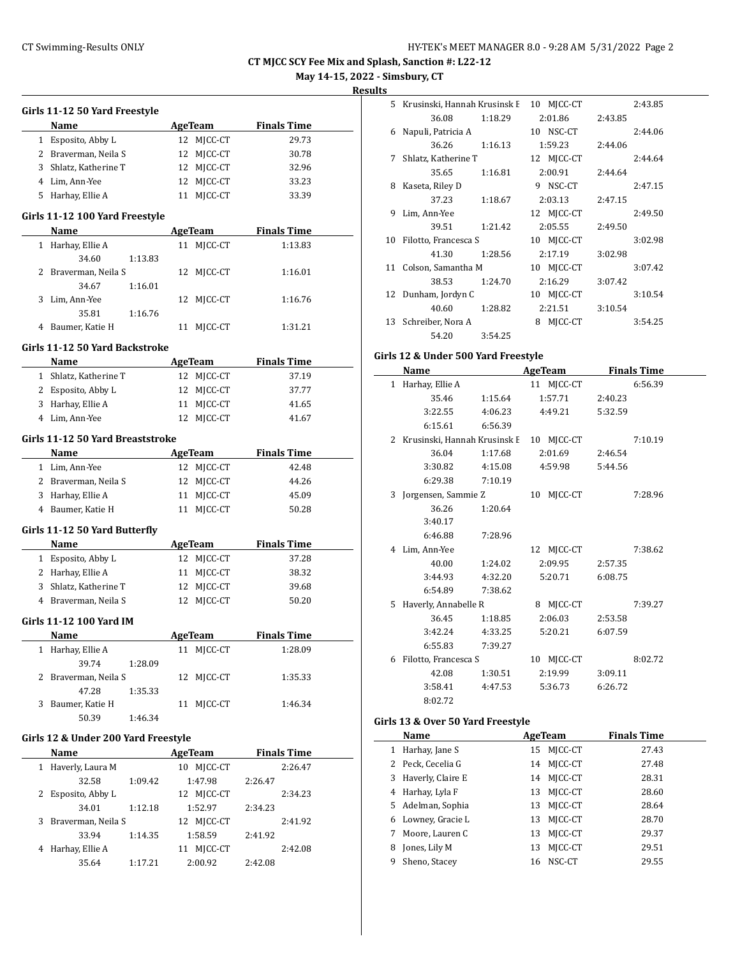**May 14-15, 2022 - Simsbury, CT**

**Results**

|           | Girls 11-12 50 Yard Freestyle          |                |                    |
|-----------|----------------------------------------|----------------|--------------------|
|           | Name                                   | AgeTeam        | <b>Finals Time</b> |
|           | 1 Esposito, Abby L                     | 12 MJCC-CT     | 29.73              |
|           | 2 Braverman, Neila S                   | 12 MJCC-CT     | 30.78              |
|           | 3 Shlatz, Katherine T                  | 12 MJCC-CT     | 32.96              |
|           | 4 Lim, Ann-Yee                         | 12 MICC-CT     | 33.23              |
|           | 5 Harhay, Ellie A                      | MJCC-CT<br>11  | 33.39              |
|           |                                        |                |                    |
|           | Girls 11-12 100 Yard Freestyle         |                |                    |
|           | Name                                   | AgeTeam        | <b>Finals Time</b> |
|           | 1 Harhay, Ellie A                      | MJCC-CT<br>11  | 1:13.83            |
|           | 34.60<br>1:13.83                       |                |                    |
|           | 2 Braverman, Neila S                   | MJCC-CT<br>12  | 1:16.01            |
|           | 34.67<br>1:16.01                       |                |                    |
| 3         | Lim, Ann-Yee                           | MJCC-CT<br>12  | 1:16.76            |
|           | 35.81<br>1:16.76                       |                |                    |
|           | 4 Baumer, Katie H                      | 11<br>MJCC-CT  | 1:31.21            |
|           | Girls 11-12 50 Yard Backstroke         |                |                    |
|           | Name                                   | <b>AgeTeam</b> | <b>Finals Time</b> |
|           | 1 Shlatz, Katherine T                  | 12 MJCC-CT     | 37.19              |
|           | 2 Esposito, Abby L                     | MJCC-CT<br>12  | 37.77              |
|           | 3 Harhay, Ellie A                      | MICC-CT<br>11  | 41.65              |
|           | 4 Lim, Ann-Yee                         | MICC-CT<br>12  | 41.67              |
|           | Girls 11-12 50 Yard Breaststroke       |                |                    |
|           | Name                                   | <b>AgeTeam</b> | <b>Finals Time</b> |
|           | 1 Lim, Ann-Yee                         |                | 42.48              |
|           |                                        | 12 MJCC-CT     |                    |
|           | 2 Braverman, Neila S                   | 12 MJCC-CT     | 44.26              |
|           | 3 Harhay, Ellie A<br>4 Baumer, Katie H | 11 MJCC-CT     | 45.09              |
|           |                                        | 11 MJCC-CT     | 50.28              |
|           | Girls 11-12 50 Yard Butterfly          |                |                    |
|           | Name                                   | <b>AgeTeam</b> | <b>Finals Time</b> |
|           | 1 Esposito, Abby L                     | 12 MJCC-CT     | 37.28              |
|           | 2 Harhay, Ellie A                      | 11 MICC-CT     | 38.32              |
|           | 3 Shlatz, Katherine T                  | 12 MJCC-CT     | 39.68              |
|           | 4 Braverman, Neila S                   | MJCC-CT<br>12  | 50.20              |
|           | Girls 11-12 100 Yard IM                |                |                    |
|           | <u>Name</u>                            | <b>AgeTeam</b> | <b>Finals Time</b> |
|           | 1 Harhay, Ellie A                      | 11 MJCC-CT     | 1:28.09            |
|           | 39.74<br>1:28.09                       |                |                    |
| 2         | Braverman, Neila S                     | 12 MJCC-CT     | 1:35.33            |
|           | 47.28<br>1:35.33                       |                |                    |
| 3         | Baumer, Katie H                        | 11<br>MJCC-CT  | 1:46.34            |
|           | 50.39<br>1:46.34                       |                |                    |
|           |                                        |                |                    |
|           | Girls 12 & Under 200 Yard Freestyle    |                |                    |
|           | Name                                   | AgeTeam        | <b>Finals Time</b> |
| $1 \quad$ | Haverly, Laura M                       | 10 MJCC-CT     | 2:26.47            |
|           | 32.58<br>1:09.42                       | 1:47.98        | 2:26.47            |
| 2         | Esposito, Abby L                       | 12 MJCC-CT     | 2:34.23            |
|           | 34.01<br>1:12.18                       | 1:52.97        | 2:34.23            |
| 3         | Braverman, Neila S                     | 12 MJCC-CT     | 2:41.92            |
|           | 33.94<br>1:14.35                       | 1:58.59        | 2:41.92            |
| 4         | Harhay, Ellie A                        | 11 MJCC-CT     | 2:42.08            |

35.64 1:17.21 2:00.92 2:42.08

| 5. | Krusinski, Hannah Krusinsk E |         | 10<br>MICC-CT |         | 2:43.85 |
|----|------------------------------|---------|---------------|---------|---------|
|    | 36.08                        | 1:18.29 | 2:01.86       | 2:43.85 |         |
| 6  | Napuli, Patricia A           |         | 10 NSC-CT     |         | 2:44.06 |
|    | 36.26                        | 1:16.13 | 1:59.23       | 2:44.06 |         |
| 7  | Shlatz, Katherine T          |         | 12 MJCC-CT    |         | 2:44.64 |
|    | 35.65                        | 1:16.81 | 2:00.91       | 2:44.64 |         |
| 8  | Kaseta, Riley D              |         | NSC-CT<br>9   |         | 2:47.15 |
|    | 37.23                        | 1:18.67 | 2:03.13       | 2:47.15 |         |
| 9  | Lim, Ann-Yee                 |         | 12 MJCC-CT    |         | 2:49.50 |
|    | 39.51                        | 1:21.42 | 2:05.55       | 2:49.50 |         |
| 10 | Filotto, Francesca S         |         | 10 MJCC-CT    |         | 3:02.98 |
|    | 41.30                        | 1:28.56 | 2:17.19       | 3:02.98 |         |
| 11 | Colson, Samantha M           |         | MJCC-CT<br>10 |         | 3:07.42 |
|    | 38.53                        | 1:24.70 | 2:16.29       | 3:07.42 |         |
| 12 | Dunham, Jordyn C             |         | MJCC-CT<br>10 |         | 3:10.54 |
|    | 40.60                        | 1:28.82 | 2:21.51       | 3:10.54 |         |
| 13 | Schreiber, Nora A            |         | MJCC-CT<br>8  |         | 3:54.25 |
|    | 54.20                        | 3:54.25 |               |         |         |
|    |                              |         |               |         |         |

# **Girls 12 & Under 500 Yard Freestyle**

|   | Name                           |         | AgeTeam    |         | <b>Finals Time</b> |
|---|--------------------------------|---------|------------|---------|--------------------|
|   | 1 Harhay, Ellie A              |         | 11 MJCC-CT |         | 6:56.39            |
|   | 35.46                          | 1:15.64 | 1:57.71    | 2:40.23 |                    |
|   | 3:22.55                        | 4:06.23 | 4:49.21    | 5:32.59 |                    |
|   | 6:15.61                        | 6:56.39 |            |         |                    |
|   | 2 Krusinski, Hannah Krusinsk E |         | 10 MJCC-CT |         | 7:10.19            |
|   | 36.04                          | 1:17.68 | 2:01.69    | 2:46.54 |                    |
|   | 3:30.82                        | 4:15.08 | 4:59.98    | 5:44.56 |                    |
|   | 6:29.38                        | 7:10.19 |            |         |                    |
| 3 | Jorgensen, Sammie Z            |         | 10 MJCC-CT |         | 7:28.96            |
|   | 36.26                          | 1:20.64 |            |         |                    |
|   | 3:40.17                        |         |            |         |                    |
|   | 6:46.88                        | 7:28.96 |            |         |                    |
|   | 4 Lim, Ann-Yee                 |         | 12 MJCC-CT |         | 7:38.62            |
|   | 40.00                          | 1:24.02 | 2:09.95    | 2:57.35 |                    |
|   | 3:44.93                        | 4:32.20 | 5:20.71    | 6:08.75 |                    |
|   | 6:54.89                        | 7:38.62 |            |         |                    |
|   | 5 Haverly, Annabelle R         |         | 8 MJCC-CT  |         | 7:39.27            |
|   | 36.45                          | 1:18.85 | 2:06.03    | 2:53.58 |                    |
|   | 3:42.24                        | 4:33.25 | 5:20.21    | 6:07.59 |                    |
|   | 6:55.83                        | 7:39.27 |            |         |                    |
|   | 6 Filotto, Francesca S         |         | 10 MJCC-CT |         | 8:02.72            |
|   | 42.08                          | 1:30.51 | 2:19.99    | 3:09.11 |                    |
|   | 3:58.41                        | 4:47.53 | 5:36.73    | 6:26.72 |                    |
|   | 8:02.72                        |         |            |         |                    |

# **Girls 13 & Over 50 Yard Freestyle**

|   | Name                | AgeTeam |            | <b>Finals Time</b> |  |
|---|---------------------|---------|------------|--------------------|--|
| 1 | Harhay, Jane S      |         | 15 MICC-CT | 27.43              |  |
|   | 2 Peck, Cecelia G   |         | 14 MICC-CT | 27.48              |  |
|   | 3 Haverly, Claire E |         | 14 MICC-CT | 28.31              |  |
|   | 4 Harhay, Lyla F    | 13      | MICC-CT    | 28.60              |  |
|   | 5 Adelman, Sophia   |         | 13 MICC-CT | 28.64              |  |
|   | 6 Lowney, Gracie L  | 13      | MICC-CT    | 28.70              |  |
| 7 | Moore, Lauren C     | 13      | MICC-CT    | 29.37              |  |
| 8 | Jones, Lily M       | 13      | MICC-CT    | 29.51              |  |
| 9 | Sheno, Stacey       |         | 16 NSC-CT  | 29.55              |  |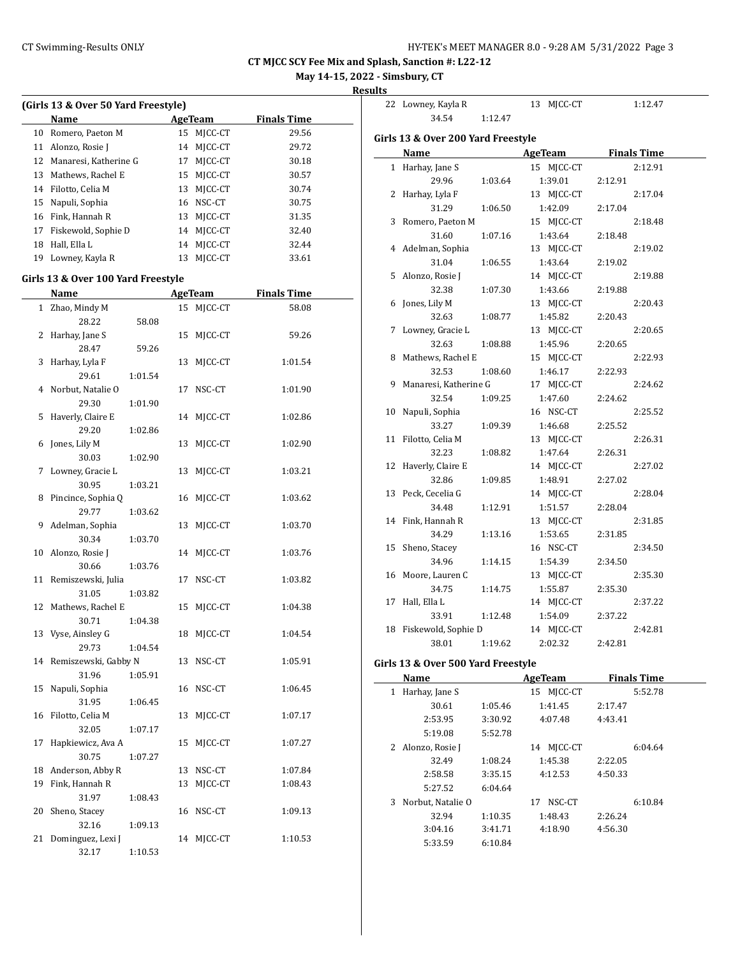**May 14-15, 2022 - Simsbury, CT**

**Results**

 $\overline{\phantom{a}}$ 

|    | (Girls 13 & Over 50 Yard Freestyle)        |         |    |                |                    |  |
|----|--------------------------------------------|---------|----|----------------|--------------------|--|
|    | Name                                       |         |    | <b>AgeTeam</b> | <b>Finals Time</b> |  |
| 10 | Romero, Paeton M                           |         | 15 | MJCC-CT        | 29.56              |  |
|    | 11 Alonzo, Rosie J                         |         | 14 | MJCC-CT        | 29.72              |  |
|    | 12 Manaresi, Katherine G                   |         | 17 | MJCC-CT        | 30.18              |  |
| 13 | Mathews, Rachel E                          |         |    | 15 MJCC-CT     | 30.57              |  |
|    | 14 Filotto, Celia M                        |         |    | 13 MJCC-CT     | 30.74              |  |
| 15 | Napuli, Sophia                             |         |    | 16 NSC-CT      | 30.75              |  |
|    | 16 Fink, Hannah R                          |         |    | 13 MJCC-CT     | 31.35              |  |
|    | 17 Fiskewold, Sophie D                     |         |    | 14 MJCC-CT     | 32.40              |  |
| 18 | Hall, Ella L                               |         |    | 14 MJCC-CT     | 32.44              |  |
|    | 19 Lowney, Kayla R                         |         |    | 13 MJCC-CT     | 33.61              |  |
|    |                                            |         |    |                |                    |  |
|    | Girls 13 & Over 100 Yard Freestyle<br>Name |         |    | <b>AgeTeam</b> | <b>Finals Time</b> |  |
|    | 1 Zhao, Mindy M                            |         |    | 15 MJCC-CT     | 58.08              |  |
|    | 28.22                                      | 58.08   |    |                |                    |  |
| 2  | Harhay, Jane S                             |         | 15 | MJCC-CT        | 59.26              |  |
|    | 28.47                                      | 59.26   |    |                |                    |  |
| 3  | Harhay, Lyla F                             |         | 13 | MJCC-CT        | 1:01.54            |  |
|    | 29.61                                      | 1:01.54 |    |                |                    |  |
| 4  | Norbut, Natalie O                          |         | 17 | NSC-CT         | 1:01.90            |  |
|    | 29.30                                      | 1:01.90 |    |                |                    |  |
| 5  | Haverly, Claire E                          |         |    | 14 MJCC-CT     | 1:02.86            |  |
|    | 29.20                                      | 1:02.86 |    |                |                    |  |
| 6  | Jones, Lily M                              |         | 13 | MJCC-CT        | 1:02.90            |  |
|    | 30.03                                      | 1:02.90 |    |                |                    |  |
| 7  | Lowney, Gracie L                           |         | 13 | MJCC-CT        | 1:03.21            |  |
|    | 30.95                                      | 1:03.21 |    |                |                    |  |
| 8  | Pincince, Sophia Q                         |         | 16 | MJCC-CT        | 1:03.62            |  |
|    | 29.77                                      | 1:03.62 |    |                |                    |  |
| 9  | Adelman, Sophia                            |         | 13 | MJCC-CT        | 1:03.70            |  |
|    | 30.34                                      | 1:03.70 |    |                |                    |  |
| 10 | Alonzo, Rosie J                            |         | 14 | MJCC-CT        | 1:03.76            |  |
|    | 30.66                                      | 1:03.76 |    |                |                    |  |
| 11 | Remiszewski, Julia                         |         | 17 | NSC-CT         | 1:03.82            |  |
|    | 31.05                                      | 1:03.82 |    |                |                    |  |
| 12 | Mathews, Rachel E                          |         |    | 15 MICC-CT     | 1:04.38            |  |
|    | 30.71                                      | 1:04.38 |    |                |                    |  |
|    | 13 Vyse, Ainsley G                         |         |    | 18 MJCC-CT     | 1:04.54            |  |
|    | 29.73                                      | 1:04.54 |    |                |                    |  |
| 14 | Remiszewski, Gabby N                       |         | 13 | NSC-CT         | 1:05.91            |  |
|    | 31.96                                      | 1:05.91 |    |                |                    |  |
| 15 | Napuli, Sophia                             |         | 16 | NSC-CT         | 1:06.45            |  |
|    | 31.95                                      | 1:06.45 |    |                |                    |  |
| 16 | Filotto, Celia M                           |         | 13 | MJCC-CT        | 1:07.17            |  |
|    | 32.05                                      | 1:07.17 |    |                |                    |  |
| 17 | Hapkiewicz, Ava A                          |         | 15 | MJCC-CT        | 1:07.27            |  |
|    | 30.75                                      | 1:07.27 |    |                |                    |  |
| 18 | Anderson, Abby R                           |         | 13 | NSC-CT         | 1:07.84            |  |
| 19 | Fink, Hannah R                             |         | 13 | MJCC-CT        | 1:08.43            |  |
|    | 31.97                                      | 1:08.43 |    |                |                    |  |
| 20 | Sheno, Stacey                              |         | 16 | NSC-CT         | 1:09.13            |  |
|    | 32.16                                      | 1:09.13 |    |                |                    |  |
| 21 | Dominguez, Lexi J                          |         | 14 | MJCC-CT        | 1:10.53            |  |
|    | 32.17                                      | 1:10.53 |    |                |                    |  |

|              | 22 Lowney, Kayla R                 |         | 13 MJCC-CT     | 1:12.47            |
|--------------|------------------------------------|---------|----------------|--------------------|
|              | 34.54                              | 1:12.47 |                |                    |
|              | Girls 13 & Over 200 Yard Freestyle |         |                |                    |
|              | Name                               |         | <b>AgeTeam</b> | <b>Finals Time</b> |
| $\mathbf{1}$ | Harhay, Jane S                     |         | 15 MJCC-CT     | 2:12.91            |
|              | 29.96                              | 1:03.64 | 1:39.01        | 2:12.91            |
| 2            | Harhay, Lyla F                     |         | 13 MJCC-CT     | 2:17.04            |
|              | 31.29                              | 1:06.50 | 1:42.09        | 2:17.04            |
| 3            | Romero, Paeton M                   |         | 15 MJCC-CT     | 2:18.48            |
|              | 31.60                              | 1:07.16 | 1:43.64        | 2:18.48            |
| 4            | Adelman, Sophia                    |         | 13 MJCC-CT     | 2:19.02            |
|              | 31.04                              | 1:06.55 | 1:43.64        | 2:19.02            |
| 5            | Alonzo, Rosie J                    |         | 14 MJCC-CT     | 2:19.88            |
|              | 32.38                              | 1:07.30 | 1:43.66        | 2:19.88            |
| 6            | Jones, Lily M                      |         | 13 MJCC-CT     | 2:20.43            |
|              | 32.63                              | 1:08.77 | 1:45.82        | 2:20.43            |
| 7            | Lowney, Gracie L                   |         | 13 MJCC-CT     | 2:20.65            |
|              | 32.63                              | 1:08.88 | 1:45.96        | 2:20.65            |
| 8            | Mathews, Rachel E                  |         | 15 MJCC-CT     | 2:22.93            |
|              | 32.53                              | 1:08.60 | 1:46.17        | 2:22.93            |
| 9            | Manaresi, Katherine G              |         | 17 MJCC-CT     | 2:24.62            |
|              | 32.54                              | 1:09.25 | 1:47.60        | 2:24.62            |
| 10           | Napuli, Sophia                     |         | 16 NSC-CT      | 2:25.52            |
|              | 33.27                              | 1:09.39 | 1:46.68        | 2:25.52            |
| 11           | Filotto, Celia M                   |         | 13 MJCC-CT     | 2:26.31            |
|              | 32.23                              | 1:08.82 | 1:47.64        | 2:26.31            |
| 12           | Haverly, Claire E                  |         | 14 MJCC-CT     | 2:27.02            |
|              | 32.86                              | 1:09.85 | 1:48.91        | 2:27.02            |
| 13           | Peck, Cecelia G                    |         | 14 MJCC-CT     | 2:28.04            |
|              | 34.48                              | 1:12.91 | 1:51.57        | 2:28.04            |
| 14           | Fink, Hannah R                     |         | 13 MJCC-CT     | 2:31.85            |
|              | 34.29                              | 1:13.16 | 1:53.65        | 2:31.85            |
| 15           | Sheno, Stacey                      |         | 16 NSC-CT      | 2:34.50            |
|              | 34.96                              | 1:14.15 | 1:54.39        | 2:34.50            |
| 16           | Moore, Lauren C                    |         | 13 MJCC-CT     | 2:35.30            |
|              | 34.75                              | 1:14.75 | 1:55.87        | 2:35.30            |
| 17           | Hall, Ella L                       |         | 14 MJCC-CT     | 2:37.22            |
|              | 33.91                              | 1:12.48 | 1:54.09        | 2:37.22            |
|              | 18 Fiskewold, Sophie D             |         | 14 MJCC-CT     | 2:42.81            |
|              | 38.01                              | 1:19.62 | 2:02.32        | 2:42.81            |
|              | Girls 13 & Over 500 Yard Freestyle |         |                |                    |
|              | Name                               |         | AgeTeam        | <b>Finals Time</b> |

|   | Name              |         | <b>AgeTeam</b> |         | <b>Finals Time</b> |  |
|---|-------------------|---------|----------------|---------|--------------------|--|
| 1 | Harhay, Jane S    |         | 15 MICC-CT     |         | 5:52.78            |  |
|   | 30.61             | 1:05.46 | 1:41.45        | 2:17.47 |                    |  |
|   | 2:53.95           | 3:30.92 | 4:07.48        | 4:43.41 |                    |  |
|   | 5:19.08           | 5:52.78 |                |         |                    |  |
| 2 | Alonzo, Rosie J   |         | 14 MICC-CT     |         | 6:04.64            |  |
|   | 32.49             | 1:08.24 | 1:45.38        | 2:22.05 |                    |  |
|   | 2:58.58           | 3:35.15 | 4:12.53        | 4:50.33 |                    |  |
|   | 5:27.52           | 6:04.64 |                |         |                    |  |
| 3 | Norbut, Natalie O |         | NSC-CT<br>17   |         | 6:10.84            |  |
|   | 32.94             | 1:10.35 | 1:48.43        | 2:26.24 |                    |  |
|   | 3:04.16           | 3:41.71 | 4:18.90        | 4:56.30 |                    |  |
|   | 5:33.59           | 6:10.84 |                |         |                    |  |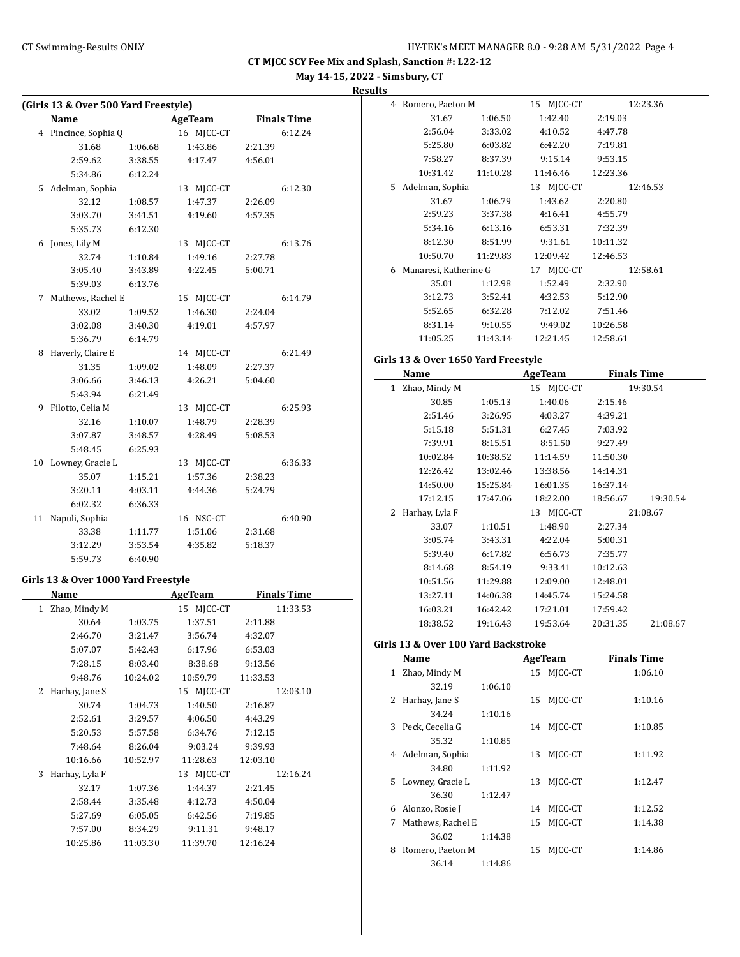**May 14-15, 2022 - Simsbury, CT**

**Results**

|    | (Girls 13 & Over 500 Yard Freestyle) |         |                |         |                    |
|----|--------------------------------------|---------|----------------|---------|--------------------|
|    | <b>Name</b>                          |         | <b>AgeTeam</b> |         | <b>Finals Time</b> |
| 4  | Pincince, Sophia Q                   |         | 16 MJCC-CT     |         | 6:12.24            |
|    | 31.68                                | 1:06.68 | 1:43.86        | 2:21.39 |                    |
|    | 2:59.62                              | 3:38.55 | 4:17.47        | 4:56.01 |                    |
|    | 5:34.86                              | 6:12.24 |                |         |                    |
| 5. | Adelman, Sophia                      |         | 13 MJCC-CT     |         | 6:12.30            |
|    | 32.12                                | 1:08.57 | 1:47.37        | 2:26.09 |                    |
|    | 3:03.70                              | 3:41.51 | 4:19.60        | 4:57.35 |                    |
|    | 5:35.73                              | 6:12.30 |                |         |                    |
| 6  | Jones, Lily M                        |         | 13 MJCC-CT     |         | 6:13.76            |
|    | 32.74                                | 1:10.84 | 1:49.16        | 2:27.78 |                    |
|    | 3:05.40                              | 3:43.89 | 4:22.45        | 5:00.71 |                    |
|    | 5:39.03                              | 6:13.76 |                |         |                    |
| 7  | Mathews, Rachel E                    |         | 15 MJCC-CT     |         | 6:14.79            |
|    | 33.02                                | 1:09.52 | 1:46.30        | 2:24.04 |                    |
|    | 3:02.08                              | 3:40.30 | 4:19.01        | 4:57.97 |                    |
|    | 5:36.79                              | 6:14.79 |                |         |                    |
| 8  | Haverly, Claire E                    |         | 14 MJCC-CT     |         | 6:21.49            |
|    | 31.35                                | 1:09.02 | 1:48.09        | 2:27.37 |                    |
|    | 3:06.66                              | 3:46.13 | 4:26.21        | 5:04.60 |                    |
|    | 5:43.94                              | 6:21.49 |                |         |                    |
| 9  | Filotto, Celia M                     |         | 13 MJCC-CT     |         | 6:25.93            |
|    | 32.16                                | 1:10.07 | 1:48.79        | 2:28.39 |                    |
|    | 3:07.87                              | 3:48.57 | 4:28.49        | 5:08.53 |                    |
|    | 5:48.45                              | 6:25.93 |                |         |                    |
| 10 | Lowney, Gracie L                     |         | 13 MJCC-CT     |         | 6:36.33            |
|    | 35.07                                | 1:15.21 | 1:57.36        | 2:38.23 |                    |
|    | 3:20.11                              | 4:03.11 | 4:44.36        | 5:24.79 |                    |
|    | 6:02.32                              | 6:36.33 |                |         |                    |
| 11 | Napuli, Sophia                       |         | 16 NSC-CT      |         | 6:40.90            |
|    | 33.38                                | 1:11.77 | 1:51.06        | 2:31.68 |                    |
|    | 3:12.29                              | 3:53.54 | 4:35.82        | 5:18.37 |                    |
|    | 5:59.73                              | 6:40.90 |                |         |                    |

# **Girls 13 & Over 1000 Yard Freestyle**

| Name                |          | <b>AgeTeam</b> | <b>Finals Time</b> |
|---------------------|----------|----------------|--------------------|
| Zhao, Mindy M<br>1  |          | 15 MJCC-CT     | 11:33.53           |
| 30.64               | 1:03.75  | 1:37.51        | 2:11.88            |
| 2:46.70             | 3:21.47  | 3:56.74        | 4:32.07            |
| 5:07.07             | 5:42.43  | 6:17.96        | 6:53.03            |
| 7:28.15             | 8:03.40  | 8:38.68        | 9:13.56            |
| 9:48.76             | 10:24.02 | 10:59.79       | 11:33.53           |
| Harhay, Jane S<br>2 |          | 15 MJCC-CT     | 12:03.10           |
| 30.74               | 1:04.73  | 1:40.50        | 2:16.87            |
| 2:52.61             | 3:29.57  | 4:06.50        | 4:43.29            |
| 5:20.53             | 5:57.58  | 6:34.76        | 7:12.15            |
| 7:48.64             | 8:26.04  | 9:03.24        | 9:39.93            |
| 10:16.66            | 10:52.97 | 11:28.63       | 12:03.10           |
| Harhay, Lyla F<br>3 |          | 13 MICC-CT     | 12:16.24           |
| 32.17               | 1:07.36  | 1:44.37        | 2:21.45            |
| 2:58.44             | 3:35.48  | 4:12.73        | 4:50.04            |
| 5:27.69             | 6:05.05  | 6:42.56        | 7:19.85            |
| 7:57.00             | 8:34.29  | 9:11.31        | 9:48.17            |
| 10:25.86            | 11:03.30 | 11:39.70       | 12:16.24           |
|                     |          |                |                    |

| 4  | Romero, Paeton M      |          | MICC-CT<br>15 | 12:23.36 |
|----|-----------------------|----------|---------------|----------|
|    | 31.67                 | 1:06.50  | 1:42.40       | 2:19.03  |
|    | 2:56.04               | 3:33.02  | 4:10.52       | 4:47.78  |
|    | 5:25.80               | 6:03.82  | 6:42.20       | 7:19.81  |
|    | 7:58.27               | 8:37.39  | 9:15.14       | 9:53.15  |
|    | 10:31.42              | 11:10.28 | 11:46.46      | 12:23.36 |
| 5. | Adelman, Sophia       |          | 13 MJCC-CT    | 12:46.53 |
|    | 31.67                 | 1:06.79  | 1:43.62       | 2:20.80  |
|    | 2:59.23               | 3:37.38  | 4:16.41       | 4:55.79  |
|    | 5:34.16               | 6:13.16  | 6:53.31       | 7:32.39  |
|    | 8:12.30               | 8:51.99  | 9:31.61       | 10:11.32 |
|    | 10:50.70              | 11:29.83 | 12:09.42      | 12:46.53 |
| 6  | Manaresi, Katherine G |          | MJCC-CT<br>17 | 12:58.61 |
|    | 35.01                 | 1:12.98  | 1:52.49       | 2:32.90  |
|    | 3:12.73               | 3:52.41  | 4:32.53       | 5:12.90  |
|    | 5:52.65               | 6:32.28  | 7:12.02       | 7:51.46  |
|    | 8:31.14               | 9:10.55  | 9:49.02       | 10:26.58 |
|    | 11:05.25              | 11:43.14 | 12:21.45      | 12:58.61 |

#### **Girls 13 & Over 1650 Yard Freestyle**

| Name                          |          | <b>AgeTeam</b> | <b>Finals Time</b> |          |
|-------------------------------|----------|----------------|--------------------|----------|
| Zhao, Mindy M<br>$\mathbf{1}$ |          | 15 MJCC-CT     |                    | 19:30.54 |
| 30.85                         | 1:05.13  | 1:40.06        | 2:15.46            |          |
| 2:51.46                       | 3:26.95  | 4:03.27        | 4:39.21            |          |
| 5:15.18                       | 5:51.31  | 6:27.45        | 7:03.92            |          |
| 7:39.91                       | 8:15.51  | 8:51.50        | 9:27.49            |          |
| 10:02.84                      | 10:38.52 | 11:14.59       | 11:50.30           |          |
| 12:26.42                      | 13:02.46 | 13:38.56       | 14:14.31           |          |
| 14:50.00                      | 15:25.84 | 16:01.35       | 16:37.14           |          |
| 17:12.15                      | 17:47.06 | 18:22.00       | 18:56.67           | 19:30.54 |
| Harhay, Lyla F<br>2           |          | 13 MJCC-CT     |                    | 21:08.67 |
| 33.07                         | 1:10.51  | 1:48.90        | 2:27.34            |          |
| 3:05.74                       | 3:43.31  | 4:22.04        | 5:00.31            |          |
| 5:39.40                       | 6:17.82  | 6:56.73        | 7:35.77            |          |
| 8:14.68                       | 8:54.19  | 9:33.41        | 10:12.63           |          |
| 10:51.56                      | 11:29.88 | 12:09.00       | 12:48.01           |          |
| 13:27.11                      | 14:06.38 | 14:45.74       | 15:24.58           |          |
| 16:03.21                      | 16:42.42 | 17:21.01       | 17:59.42           |          |
| 18:38.52                      | 19:16.43 | 19:53.64       | 20:31.35           | 21:08.67 |

### **Girls 13 & Over 100 Yard Backstroke**

|   | Name              |         |    | AgeTeam    | <b>Finals Time</b> |  |
|---|-------------------|---------|----|------------|--------------------|--|
|   | 1 Zhao, Mindy M   |         |    | 15 MICC-CT | 1:06.10            |  |
|   | 32.19             | 1:06.10 |    |            |                    |  |
| 2 | Harhay, Jane S    |         |    | 15 MICC-CT | 1:10.16            |  |
|   | 34.24             | 1:10.16 |    |            |                    |  |
|   | 3 Peck, Cecelia G |         |    | 14 MJCC-CT | 1:10.85            |  |
|   | 35.32             | 1:10.85 |    |            |                    |  |
|   | 4 Adelman, Sophia |         | 13 | MICC-CT    | 1:11.92            |  |
|   | 34.80             | 1:11.92 |    |            |                    |  |
| 5 | Lowney, Gracie L  |         | 13 | MICC-CT    | 1:12.47            |  |
|   | 36.30             | 1:12.47 |    |            |                    |  |
| 6 | Alonzo, Rosie J   |         |    | 14 MICC-CT | 1:12.52            |  |
| 7 | Mathews, Rachel E |         |    | 15 MICC-CT | 1:14.38            |  |
|   | 36.02             | 1:14.38 |    |            |                    |  |
| 8 | Romero, Paeton M  |         | 15 | MICC-CT    | 1:14.86            |  |
|   | 36.14             | 1:14.86 |    |            |                    |  |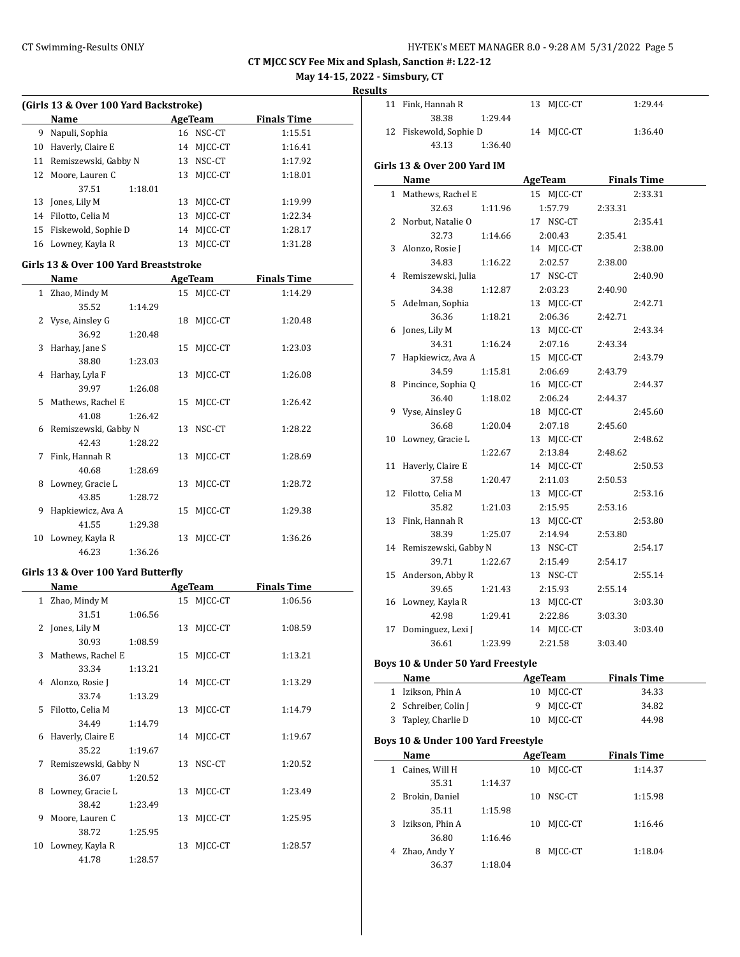**May 14-15, 2022 - Simsbury, CT**

**Result** 

|    | (Girls 13 & Over 100 Yard Backstroke) |    |           |                    |  |  |  |  |
|----|---------------------------------------|----|-----------|--------------------|--|--|--|--|
|    | <b>Name</b>                           |    | AgeTeam   | <b>Finals Time</b> |  |  |  |  |
| 9  | Napuli, Sophia                        |    | 16 NSC-CT | 1:15.51            |  |  |  |  |
| 10 | Haverly, Claire E                     | 14 | MICC-CT   | 1:16.41            |  |  |  |  |
| 11 | Remiszewski, Gabby N                  | 13 | NSC-CT    | 1:17.92            |  |  |  |  |
| 12 | Moore, Lauren C                       | 13 | MICC-CT   | 1:18.01            |  |  |  |  |
|    | 1:18.01<br>37.51                      |    |           |                    |  |  |  |  |
| 13 | Jones, Lily M                         | 13 | MICC-CT   | 1:19.99            |  |  |  |  |
| 14 | Filotto, Celia M                      | 13 | MICC-CT   | 1:22.34            |  |  |  |  |
| 15 | Fiskewold, Sophie D                   | 14 | MICC-CT   | 1:28.17            |  |  |  |  |
| 16 | Lowney, Kayla R                       | 13 | MICC-CT   | 1:31.28            |  |  |  |  |

#### **Girls 13 & Over 100 Yard Breaststroke**

|    | Name                   |         |    | <b>AgeTeam</b> | <b>Finals Time</b> |
|----|------------------------|---------|----|----------------|--------------------|
|    | 1 Zhao, Mindy M        |         |    | 15 MJCC-CT     | 1:14.29            |
|    | 35.52                  | 1:14.29 |    |                |                    |
|    | 2 Vyse, Ainsley G      |         |    | 18 MJCC-CT     | 1:20.48            |
|    | 36.92                  | 1:20.48 |    |                |                    |
| 3  | Harhay, Jane S         |         |    | 15 MICC-CT     | 1:23.03            |
|    | 38.80                  | 1:23.03 |    |                |                    |
|    | 4 Harhay, Lyla F       |         |    | 13 MJCC-CT     | 1:26.08            |
|    | 39.97                  | 1:26.08 |    |                |                    |
|    | 5 Mathews, Rachel E    |         |    | 15 MJCC-CT     | 1:26.42            |
|    | 41.08                  | 1:26.42 |    |                |                    |
|    | 6 Remiszewski, Gabby N |         |    | 13 NSC-CT      | 1:28.22            |
|    | 42.43                  | 1:28.22 |    |                |                    |
| 7  | Fink, Hannah R         |         |    | 13 MJCC-CT     | 1:28.69            |
|    | 40.68                  | 1:28.69 |    |                |                    |
| 8  | Lowney, Gracie L       |         | 13 | MICC-CT        | 1:28.72            |
|    | 43.85                  | 1:28.72 |    |                |                    |
| 9  | Hapkiewicz, Ava A      |         |    | 15 MICC-CT     | 1:29.38            |
|    | 41.55                  | 1:29.38 |    |                |                    |
| 10 | Lowney, Kayla R        |         | 13 | MICC-CT        | 1:36.26            |
|    | 46.23                  | 1:36.26 |    |                |                    |

# **Girls 13 & Over 100 Yard Butterfly**

|    | Name                 |         |    | AgeTeam    | <b>Finals Time</b> |
|----|----------------------|---------|----|------------|--------------------|
|    | 1 Zhao, Mindy M      |         |    | 15 MJCC-CT | 1:06.56            |
|    | 31.51                | 1:06.56 |    |            |                    |
|    | 2 Jones, Lily M      |         |    | 13 MJCC-CT | 1:08.59            |
|    | 30.93                | 1:08.59 |    |            |                    |
| 3  | Mathews, Rachel E    |         | 15 | MJCC-CT    | 1:13.21            |
|    | 33.34                | 1:13.21 |    |            |                    |
|    | 4 Alonzo, Rosie J    |         |    | 14 MJCC-CT | 1:13.29            |
|    | 33.74                | 1:13.29 |    |            |                    |
|    | 5 Filotto, Celia M   |         | 13 | MJCC-CT    | 1:14.79            |
|    | 34.49                | 1:14.79 |    |            |                    |
| 6  | Haverly, Claire E    |         |    | 14 MJCC-CT | 1:19.67            |
|    | 35.22                | 1:19.67 |    |            |                    |
| 7  | Remiszewski, Gabby N |         |    | 13 NSC-CT  | 1:20.52            |
|    | 36.07                | 1:20.52 |    |            |                    |
| 8  | Lowney, Gracie L     |         | 13 | MJCC-CT    | 1:23.49            |
|    | 38.42                | 1:23.49 |    |            |                    |
| 9  | Moore, Lauren C      |         | 13 | MJCC-CT    | 1:25.95            |
|    | 38.72                | 1:25.95 |    |            |                    |
| 10 | Lowney, Kayla R      |         | 13 | MJCC-CT    | 1:28.57            |
|    | 41.78                | 1:28.57 |    |            |                    |

| ılts |                                    |         |                       |                     |
|------|------------------------------------|---------|-----------------------|---------------------|
| 11   | Fink, Hannah R                     |         | 13 MJCC-CT            | 1:29.44             |
|      | 38.38                              | 1:29.44 |                       |                     |
|      | 12 Fiskewold, Sophie D             |         | 14 MJCC-CT            | 1:36.40             |
|      | 43.13                              | 1:36.40 |                       |                     |
|      | Girls 13 & Over 200 Yard IM        |         |                       |                     |
|      | Name                               |         |                       | AgeTeam Finals Time |
|      | 1 Mathews, Rachel E                |         | 15 MJCC-CT            | 2:33.31             |
|      | 32.63                              | 1:11.96 | 1:57.79               | 2:33.31             |
|      | 2 Norbut, Natalie O                |         | 17 NSC-CT             | 2:35.41             |
|      | 32.73                              | 1:14.66 | 2:00.43               | 2:35.41             |
| 3    | Alonzo, Rosie J                    |         | 14 MJCC-CT            | 2:38.00             |
|      | 34.83                              | 1:16.22 | 2:02.57               | 2:38.00             |
|      | 4 Remiszewski, Julia               |         | 17 NSC-CT             | 2:40.90             |
|      | 34.38                              | 1:12.87 | 2:03.23               | 2:40.90             |
|      | 5 Adelman, Sophia                  |         | 13 MJCC-CT            | 2:42.71             |
|      | 36.36                              | 1:18.21 | 2:06.36               | 2:42.71             |
| 6    | Jones, Lily M                      |         | 13 MJCC-CT            | 2:43.34             |
|      | 34.31                              | 1:16.24 | 2:07.16               | 2:43.34             |
| 7    | Hapkiewicz, Ava A                  |         | 15 MJCC-CT            | 2:43.79             |
|      | 34.59                              | 1:15.81 | 2:06.69               | 2:43.79             |
|      | 8 Pincince, Sophia Q               |         | 16 MJCC-CT            | 2:44.37             |
|      | 36.40                              | 1:18.02 | 2:06.24               | 2:44.37             |
|      | 9 Vyse, Ainsley G                  |         | 18 MJCC-CT            | 2:45.60             |
|      | 36.68                              | 1:20.04 | 2:07.18               | 2:45.60             |
| 10   | Lowney, Gracie L                   |         | 13 MJCC-CT            | 2:48.62             |
|      |                                    | 1:22.67 | 2:13.84               | 2:48.62             |
| 11   | Haverly, Claire E                  |         | 14 MJCC-CT            | 2:50.53             |
|      | 37.58                              | 1:20.47 | 2:11.03               | 2:50.53             |
| 12   | Filotto, Celia M                   |         | 13 MJCC-CT            | 2:53.16             |
|      | 35.82                              | 1:21.03 | 2:15.95               | 2:53.16             |
| 13   | Fink, Hannah R                     |         | 13 MJCC-CT            | 2:53.80             |
|      | 38.39                              | 1:25.07 | 2:14.94               | 2:53.80             |
|      | 14 Remiszewski, Gabby N            |         | 13 NSC-CT             | 2:54.17             |
|      | 39.71                              | 1:22.67 | 2:15.49               | 2:54.17             |
| 15   | Anderson, Abby R                   |         | 13 NSC-CT             | 2:55.14             |
|      | 39.65                              | 1:21.43 | 2:15.93<br>13 MJCC-CT | 2:55.14<br>3:03.30  |
|      | 16 Lowney, Kayla R<br>42.98        | 1:29.41 | 2:22.86               | 3:03.30             |
|      | 17 Dominguez, Lexi J               |         | 14 MJCC-CT            | 3:03.40             |
|      | 36.61                              | 1:23.99 | 2:21.58               | 3:03.40             |
|      |                                    |         |                       |                     |
|      | Boys 10 & Under 50 Yard Freestyle  |         |                       |                     |
|      | Name                               |         | AgeTeam               | <b>Finals Time</b>  |
|      | 1 Izikson, Phin A                  |         | 10 MJCC-CT            | 34.33               |
|      | 2 Schreiber, Colin J               |         | 9<br>MJCC-CT          | 34.82               |
| 3    | Tapley, Charlie D                  |         | MJCC-CT<br>10         | 44.98               |
|      | Boys 10 & Under 100 Yard Freestyle |         |                       |                     |
|      | Name                               |         | AgeTeam               | <b>Finals Time</b>  |
| 1    | Caines, Will H                     |         | MJCC-CT<br>10         | 1:14.37             |
|      | 35.31                              | 1:14.37 |                       |                     |
| 2    | Brokin, Daniel                     |         | 10<br>NSC-CT          | 1:15.98             |
|      | 35.11                              | 1:15.98 |                       |                     |
| 3    | Izikson, Phin A                    |         | 10<br>MJCC-CT         | 1:16.46             |
|      | 36.80                              | 1:16.46 |                       |                     |
| 4    | Zhao, Andy Y                       |         | MJCC-CT<br>8          | 1:18.04             |
|      | 36.37                              | 1:18.04 |                       |                     |
|      |                                    |         |                       |                     |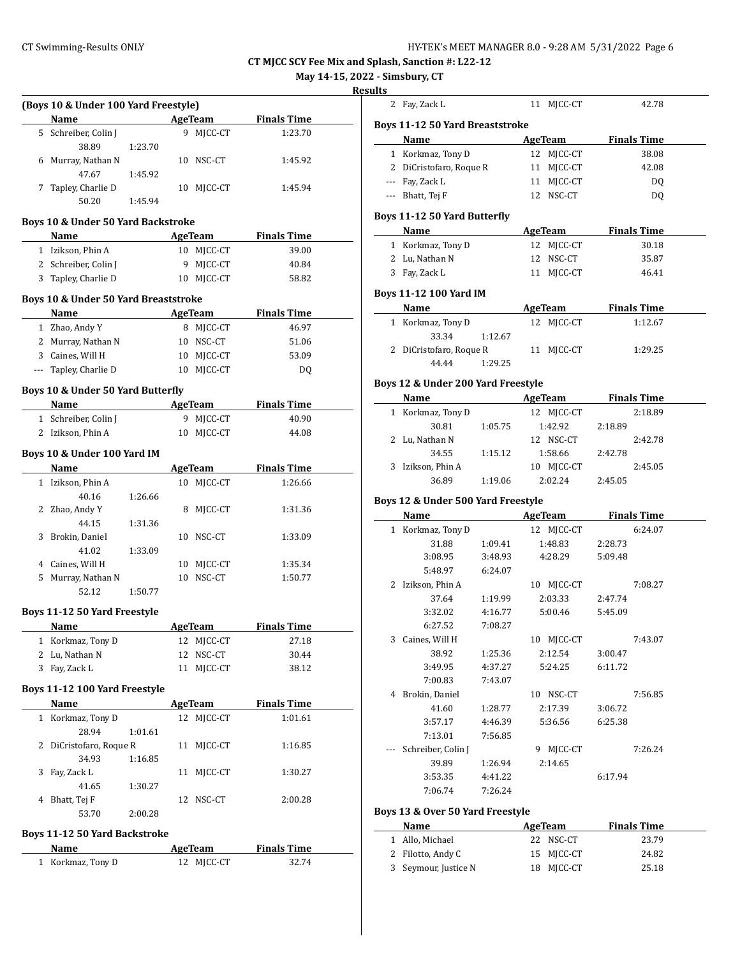**May 14-15, 2022 - Simsbury, CT**

#### **Resu**

| (Boys 10 & Under 100 Yard Freestyle)<br>Name |         |    | <b>AgeTeam</b> | <b>Finals Time</b> |
|----------------------------------------------|---------|----|----------------|--------------------|
| 5 Schreiber, Colin J                         |         | 9  | MJCC-CT        | 1:23.70            |
| 38.89                                        | 1:23.70 |    |                |                    |
| 6 Murray, Nathan N                           |         | 10 | NSC-CT         | 1:45.92            |
| 47.67                                        | 1:45.92 |    |                |                    |
| 7 Tapley, Charlie D                          |         | 10 | MJCC-CT        | 1:45.94            |
| 50.20                                        | 1:45.94 |    |                |                    |
|                                              |         |    |                |                    |
| Boys 10 & Under 50 Yard Backstroke           |         |    |                |                    |
| Name                                         |         |    | AgeTeam        | <b>Finals Time</b> |
| 1 Izikson, Phin A                            |         |    | 10 MJCC-CT     | 39.00              |
| 2 Schreiber, Colin J                         |         | 9  | MICC-CT        | 40.84              |
| 3 Tapley, Charlie D                          |         |    | 10 MJCC-CT     | 58.82              |
| Boys 10 & Under 50 Yard Breaststroke         |         |    |                |                    |
| Name                                         |         |    | <b>AgeTeam</b> | <b>Finals Time</b> |
| 1 Zhao, Andy Y                               |         | 8  | MJCC-CT        | 46.97              |
| 2 Murray, Nathan N                           |         |    | 10 NSC-CT      | 51.06              |
| 3 Caines. Will H                             |         |    | 10 MJCC-CT     | 53.09              |
| --- Tapley, Charlie D                        |         |    | 10 MJCC-CT     | DQ                 |
|                                              |         |    |                |                    |
| Boys 10 & Under 50 Yard Butterfly            |         |    |                |                    |
| Name                                         |         |    | AgeTeam        | <b>Finals Time</b> |
| 1 Schreiber, Colin J                         |         | 9  | MJCC-CT        | 40.90              |
| 2 Izikson, Phin A                            |         | 10 | MJCC-CT        | 44.08              |
| Boys 10 & Under 100 Yard IM                  |         |    |                |                    |
| Name                                         |         |    | AgeTeam        | <b>Finals Time</b> |
| 1 Izikson, Phin A                            |         |    | 10 MJCC-CT     | 1:26.66            |
| 40.16                                        | 1:26.66 |    |                |                    |
| 2 Zhao, Andy Y                               |         | 8  | MJCC-CT        | 1:31.36            |
| 44.15                                        | 1:31.36 |    |                |                    |
| 3 Brokin, Daniel                             |         |    | 10 NSC-CT      | 1:33.09            |
| 41.02                                        | 1:33.09 |    |                |                    |
| 4 Caines, Will H                             |         | 10 | MJCC-CT        | 1:35.34            |
| 5 Murray, Nathan N                           |         | 10 | NSC-CT         | 1:50.77            |
| 52.12                                        | 1:50.77 |    |                |                    |
|                                              |         |    |                |                    |
| Boys 11-12 50 Yard Freestyle                 |         |    |                |                    |
| <b>Name</b>                                  |         |    | <b>AgeTeam</b> | <b>Finals Time</b> |
| 1 Korkmaz, Tony D                            |         |    | 12 MJCC-CT     | 27.18              |
| 2 Lu, Nathan N                               |         |    | 12 NSC-CT      | 30.44              |
| 3 Fay, Zack L                                |         | 11 | MJCC-CT        | 38.12              |
| Boys 11-12 100 Yard Freestyle                |         |    |                |                    |
| Name                                         |         |    | <b>AgeTeam</b> | <b>Finals Time</b> |
| 1 Korkmaz, Tony D                            |         | 12 | MJCC-CT        | 1:01.61            |
| 28.94                                        | 1:01.61 |    |                |                    |
| 2 DiCristofaro, Roque R                      |         | 11 | MJCC-CT        | 1:16.85            |
| 34.93                                        | 1:16.85 |    |                |                    |
| 3 Fay, Zack L                                |         | 11 | MJCC-CT        | 1:30.27            |
| 41.65                                        | 1:30.27 |    |                |                    |
| 4 Bhatt, Tej F                               |         | 12 | NSC-CT         | 2:00.28            |
| 53.70                                        | 2:00.28 |    |                |                    |
|                                              |         |    |                |                    |
| <b>Boys 11-12 50 Yard Backstroke</b>         |         |    |                |                    |
| <b>Name</b>                                  |         |    | <b>AgeTeam</b> | <b>Finals Time</b> |

1 Korkmaz, Tony D 12 MJCC-CT 32.74

| ılts | . - SIMSDUFY, C I                      |         |                |                    |  |
|------|----------------------------------------|---------|----------------|--------------------|--|
|      | 2 Fay, Zack L                          |         | 11 MJCC-CT     | 42.78              |  |
|      | <b>Boys 11-12 50 Yard Breaststroke</b> |         |                |                    |  |
|      | Name                                   |         | AgeTeam        | <b>Finals Time</b> |  |
|      | 1 Korkmaz, Tony D                      |         | 12 MJCC-CT     | 38.08              |  |
|      | 2 DiCristofaro, Roque R                |         | MJCC-CT<br>11  | 42.08              |  |
|      | --- Fay, Zack L                        |         | MJCC-CT<br>11  | DQ                 |  |
|      | --- Bhatt, Tej F                       |         | 12 NSC-CT      | DQ                 |  |
|      | <b>Boys 11-12 50 Yard Butterfly</b>    |         |                |                    |  |
|      | Name                                   |         | AgeTeam        | <b>Finals Time</b> |  |
|      | 1 Korkmaz, Tony D                      |         | MJCC-CT<br>12  | 30.18              |  |
|      | 2 Lu, Nathan N                         |         | NSC-CT<br>12   | 35.87              |  |
|      | 3 Fay, Zack L                          |         | 11 MJCC-CT     | 46.41              |  |
|      | <b>Boys 11-12 100 Yard IM</b>          |         |                |                    |  |
|      | Name                                   |         | AgeTeam        | <b>Finals Time</b> |  |
|      | 1 Korkmaz, Tony D                      |         | 12 MJCC-CT     | 1:12.67            |  |
|      | 33.34                                  | 1:12.67 |                |                    |  |
|      | 2 DiCristofaro, Roque R                |         | 11 MJCC-CT     | 1:29.25            |  |
|      | 44.44                                  | 1:29.25 |                |                    |  |
|      | Boys 12 & Under 200 Yard Freestyle     |         |                |                    |  |
|      | Name                                   |         | <b>AgeTeam</b> | <b>Finals Time</b> |  |
|      | 1 Korkmaz, Tony D                      |         | 12 MJCC-CT     | 2:18.89            |  |
|      | 30.81                                  | 1:05.75 | 1:42.92        | 2:18.89            |  |
|      | 2 Lu, Nathan N                         |         | 12 NSC-CT      | 2:42.78            |  |
|      | 34.55                                  | 1:15.12 | 1:58.66        | 2:42.78            |  |
|      | 3 Izikson, Phin A                      |         | 10 MJCC-CT     | 2:45.05            |  |
|      | 36.89                                  | 1:19.06 | 2:02.24        | 2:45.05            |  |
|      | Boys 12 & Under 500 Yard Freestyle     |         |                |                    |  |
|      | Name                                   |         | <b>AgeTeam</b> | <b>Finals Time</b> |  |
|      | 1 Korkmaz, Tony D                      |         | 12 MJCC-CT     | 6:24.07            |  |
|      | 31.88                                  | 1:09.41 | 1:48.83        | 2:28.73            |  |
|      | 3:08.95                                | 3:48.93 | 4:28.29        | 5:09.48            |  |
|      | 5:48.97                                | 6:24.07 |                |                    |  |
|      | 2 Izikson, Phin A                      |         | 10 MJCC-CT     | 7:08.27            |  |
|      | 37.64                                  | 1:19.99 | 2:03.33        | 2:47.74            |  |
|      | 3:32.02                                | 4:16.77 | 5:00.46        | 5:45.09            |  |
|      | 6:27.52                                | 7:08.27 |                |                    |  |
| 3    | Caines, Will H                         |         | 10 MJCC-CT     | 7:43.07            |  |
|      | 38.92                                  | 1:25.36 | 2:12.54        | 3:00.47            |  |
|      | 3:49.95                                | 4:37.27 | 5:24.25        | 6:11.72            |  |
|      | 7:00.83                                | 7:43.07 |                |                    |  |
|      | 4 Brokin, Daniel                       |         | 10 NSC-CT      | 7:56.85            |  |
|      | 41.60                                  | 1:28.77 | 2:17.39        | 3:06.72            |  |
|      | 3:57.17                                | 4:46.39 | 5:36.56        | 6:25.38            |  |
|      | 7:13.01                                | 7:56.85 |                |                    |  |
|      | Schreiber, Colin J                     |         | 9 MJCC-CT      | 7:26.24            |  |
|      | 39.89                                  | 1:26.94 | 2:14.65        |                    |  |
|      | 3:53.35                                | 4:41.22 |                | 6:17.94            |  |
|      | 7:06.74                                | 7:26.24 |                |                    |  |
|      | Boys 13 & Over 50 Yard Freestyle       |         |                |                    |  |
|      | Name                                   |         | <b>AgeTeam</b> | <b>Finals Time</b> |  |
|      | 1 Allo, Michael                        |         | 22 NSC-CT      | 23.79              |  |
|      | 2 Filotto, Andy C                      |         | MJCC-CT<br>15  | 24.82              |  |
|      | 3 Seymour, Justice N                   |         | 18 MJCC-CT     | 25.18              |  |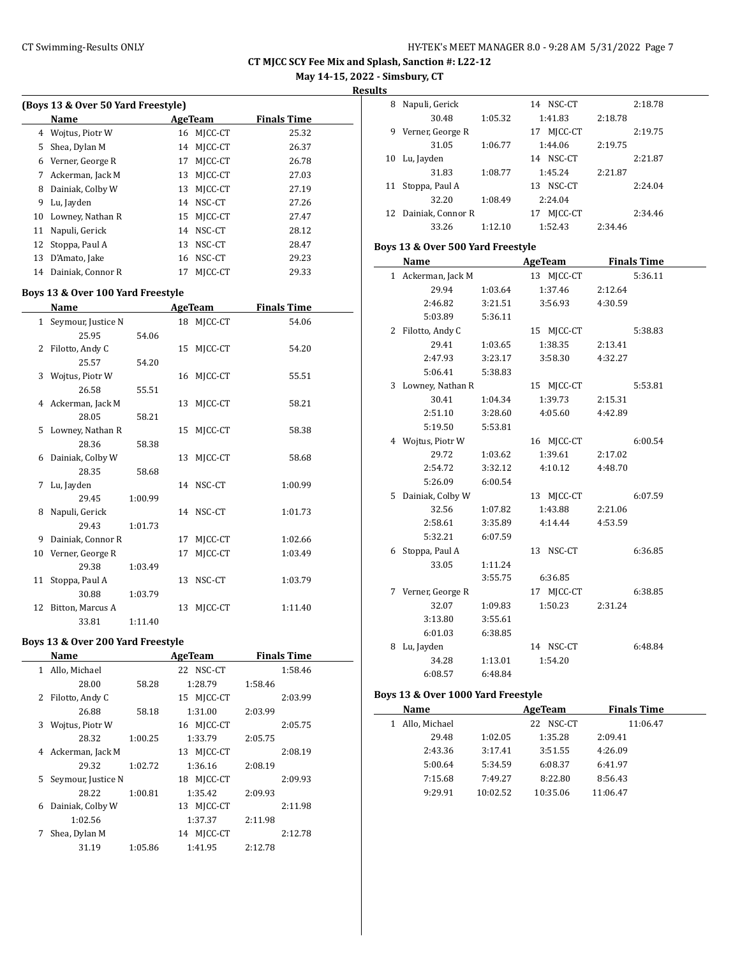**May 14-15, 2022 - Simsbury, CT**

**Results**

 $\overline{\phantom{a}}$ 

| (Boys 13 & Over 50 Yard Freestyle) |                   |         |         |                    |  |  |  |  |
|------------------------------------|-------------------|---------|---------|--------------------|--|--|--|--|
|                                    | <b>Name</b>       | AgeTeam |         | <b>Finals Time</b> |  |  |  |  |
| 4                                  | Wojtus, Piotr W   | 16      | MICC-CT | 25.32              |  |  |  |  |
| 5                                  | Shea, Dylan M     | 14      | MICC-CT | 26.37              |  |  |  |  |
| 6                                  | Verner, George R  | 17      | MICC-CT | 26.78              |  |  |  |  |
| 7                                  | Ackerman, Jack M  | 13      | MICC-CT | 27.03              |  |  |  |  |
| 8                                  | Dainiak, Colby W  | 13      | MICC-CT | 27.19              |  |  |  |  |
| 9                                  | Lu, Jayden        | 14      | NSC-CT  | 27.26              |  |  |  |  |
| 10                                 | Lowney, Nathan R  | 15      | MICC-CT | 27.47              |  |  |  |  |
| 11                                 | Napuli, Gerick    | 14      | NSC-CT  | 28.12              |  |  |  |  |
|                                    | 12 Stoppa, Paul A | 13      | NSC-CT  | 28.47              |  |  |  |  |
| 13                                 | D'Amato, Jake     | 16      | NSC-CT  | 29.23              |  |  |  |  |
| 14                                 | Dainiak, Connor R | 17      | MICC-CT | 29.33              |  |  |  |  |
|                                    |                   |         |         |                    |  |  |  |  |

# **Boys 13 & Over 100 Yard Freestyle**

|    | Name                 |         |    | <b>AgeTeam</b> | <b>Finals Time</b> |  |
|----|----------------------|---------|----|----------------|--------------------|--|
|    | 1 Seymour, Justice N |         |    | 18 MJCC-CT     | 54.06              |  |
|    | 25.95                | 54.06   |    |                |                    |  |
| 2  | Filotto, Andy C      |         |    | 15 MJCC-CT     | 54.20              |  |
|    | 25.57                | 54.20   |    |                |                    |  |
|    | 3 Wojtus, Piotr W    |         |    | 16 MJCC-CT     | 55.51              |  |
|    | 26.58                | 55.51   |    |                |                    |  |
|    | 4 Ackerman, Jack M   |         | 13 | MJCC-CT        | 58.21              |  |
|    | 28.05                | 58.21   |    |                |                    |  |
| 5. | Lowney, Nathan R     |         | 15 | MJCC-CT        | 58.38              |  |
|    | 28.36                | 58.38   |    |                |                    |  |
|    | 6 Dainiak, Colby W   |         | 13 | MJCC-CT        | 58.68              |  |
|    | 28.35                | 58.68   |    |                |                    |  |
| 7  | Lu, Jayden           |         |    | 14 NSC-CT      | 1:00.99            |  |
|    | 29.45                | 1:00.99 |    |                |                    |  |
| 8  | Napuli, Gerick       |         |    | 14 NSC-CT      | 1:01.73            |  |
|    | 29.43                | 1:01.73 |    |                |                    |  |
| 9  | Dainiak, Connor R    |         | 17 | MJCC-CT        | 1:02.66            |  |
| 10 | Verner, George R     |         | 17 | MJCC-CT        | 1:03.49            |  |
|    | 29.38                | 1:03.49 |    |                |                    |  |
| 11 | Stoppa, Paul A       |         | 13 | NSC-CT         | 1:03.79            |  |
|    | 30.88                | 1:03.79 |    |                |                    |  |
| 12 | Bitton, Marcus A     |         | 13 | MJCC-CT        | 1:11.40            |  |
|    | 33.81                | 1:11.40 |    |                |                    |  |

# **Boys 13 & Over 200 Yard Freestyle**

|    | Name               |         | <b>AgeTeam</b> | <b>Finals Time</b> |
|----|--------------------|---------|----------------|--------------------|
| 1  | Allo, Michael      |         | 22 NSC-CT      | 1:58.46            |
|    | 28.00              | 58.28   | 1:28.79        | 1:58.46            |
| 2  | Filotto, Andy C    |         | 15 MICC-CT     | 2:03.99            |
|    | 26.88              | 58.18   | 1:31.00        | 2:03.99            |
| 3  | Wojtus, Piotr W    |         | 16 MICC-CT     | 2:05.75            |
|    | 28.32              | 1:00.25 | 1:33.79        | 2:05.75            |
|    | 4 Ackerman, Jack M |         | 13 MICC-CT     | 2:08.19            |
|    | 29.32              | 1:02.72 | 1:36.16        | 2:08.19            |
| 5. | Seymour, Justice N |         | 18 MICC-CT     | 2:09.93            |
|    | 28.22              | 1:00.81 | 1:35.42        | 2:09.93            |
| 6  | Dainiak, Colby W   |         | 13 MICC-CT     | 2:11.98            |
|    | 1:02.56            |         | 1:37.37        | 2:11.98            |
| 7  | Shea, Dylan M      |         | 14 MICC-CT     | 2:12.78            |
|    | 31.19              | 1:05.86 | 1:41.95        | 2:12.78            |
|    |                    |         |                |                    |

| 8  | Napuli, Gerick    |         | NSC-CT<br>14  |         | 2:18.78 |
|----|-------------------|---------|---------------|---------|---------|
|    | 30.48             | 1:05.32 | 1:41.83       | 2:18.78 |         |
| 9  | Verner, George R  |         | MICC-CT<br>17 |         | 2:19.75 |
|    | 31.05             | 1:06.77 | 1:44.06       | 2:19.75 |         |
| 10 | Lu, Jayden        |         | NSC-CT<br>14  |         | 2:21.87 |
|    | 31.83             | 1:08.77 | 1:45.24       | 2:21.87 |         |
| 11 | Stoppa, Paul A    |         | NSC-CT<br>13  |         | 2:24.04 |
|    | 32.20             | 1:08.49 | 2:24.04       |         |         |
| 12 | Dainiak, Connor R |         | MICC-CT<br>17 |         | 2:34.46 |
|    | 33.26             | 1:12.10 | 1:52.43       | 2:34.46 |         |

# **Boys 13 & Over 500 Yard Freestyle**

|    | Name               |         | AgeTeam    | <b>Finals Time</b> |  |  |
|----|--------------------|---------|------------|--------------------|--|--|
|    | 1 Ackerman, Jack M |         | 13 MJCC-CT | 5:36.11            |  |  |
|    | 29.94              | 1:03.64 | 1:37.46    | 2:12.64            |  |  |
|    | 2:46.82            | 3:21.51 | 3:56.93    | 4:30.59            |  |  |
|    | 5:03.89            | 5:36.11 |            |                    |  |  |
| 2  | Filotto, Andy C    |         | 15 MJCC-CT | 5:38.83            |  |  |
|    | 29.41              | 1:03.65 | 1:38.35    | 2:13.41            |  |  |
|    | 2:47.93            | 3:23.17 | 3:58.30    | 4:32.27            |  |  |
|    | 5:06.41            | 5:38.83 |            |                    |  |  |
|    | 3 Lowney, Nathan R |         | 15 MJCC-CT | 5:53.81            |  |  |
|    | 30.41              | 1:04.34 | 1:39.73    | 2:15.31            |  |  |
|    | 2:51.10            | 3:28.60 | 4:05.60    | 4:42.89            |  |  |
|    | 5:19.50            | 5:53.81 |            |                    |  |  |
| 4  | Wojtus, Piotr W    |         | 16 MJCC-CT | 6:00.54            |  |  |
|    | 29.72              | 1:03.62 | 1:39.61    | 2:17.02            |  |  |
|    | 2:54.72            | 3:32.12 | 4:10.12    | 4:48.70            |  |  |
|    | 5:26.09            | 6:00.54 |            |                    |  |  |
| 5. | Dainiak, Colby W   |         | 13 MJCC-CT | 6:07.59            |  |  |
|    | 32.56              | 1:07.82 | 1:43.88    | 2:21.06            |  |  |
|    | 2:58.61            | 3:35.89 | 4:14.44    | 4:53.59            |  |  |
|    | 5:32.21            | 6:07.59 |            |                    |  |  |
| 6  | Stoppa, Paul A     |         | 13 NSC-CT  | 6:36.85            |  |  |
|    | 33.05              | 1:11.24 |            |                    |  |  |
|    |                    | 3:55.75 | 6:36.85    |                    |  |  |
| 7  | Verner, George R   |         | 17 MJCC-CT | 6:38.85            |  |  |
|    | 32.07              | 1:09.83 | 1:50.23    | 2:31.24            |  |  |
|    | 3:13.80            | 3:55.61 |            |                    |  |  |
|    | 6:01.03            | 6:38.85 |            |                    |  |  |
| 8  | Lu, Jayden         |         | 14 NSC-CT  | 6:48.84            |  |  |
|    | 34.28              | 1:13.01 | 1:54.20    |                    |  |  |
|    | 6:08.57            | 6:48.84 |            |                    |  |  |

#### **Boys 13 & Over 1000 Yard Freestyle**

| Name               |          | AgeTeam       | <b>Finals Time</b> |  |
|--------------------|----------|---------------|--------------------|--|
| Allo, Michael<br>1 |          | NSC-CT<br>22. | 11:06.47           |  |
| 29.48              | 1:02.05  | 1:35.28       | 2:09.41            |  |
| 2:43.36            | 3:17.41  | 3:51.55       | 4:26.09            |  |
| 5:00.64            | 5:34.59  | 6:08.37       | 6:41.97            |  |
| 7:15.68            | 7:49.27  | 8:22.80       | 8:56.43            |  |
| 9:29.91            | 10:02.52 | 10:35.06      | 11:06.47           |  |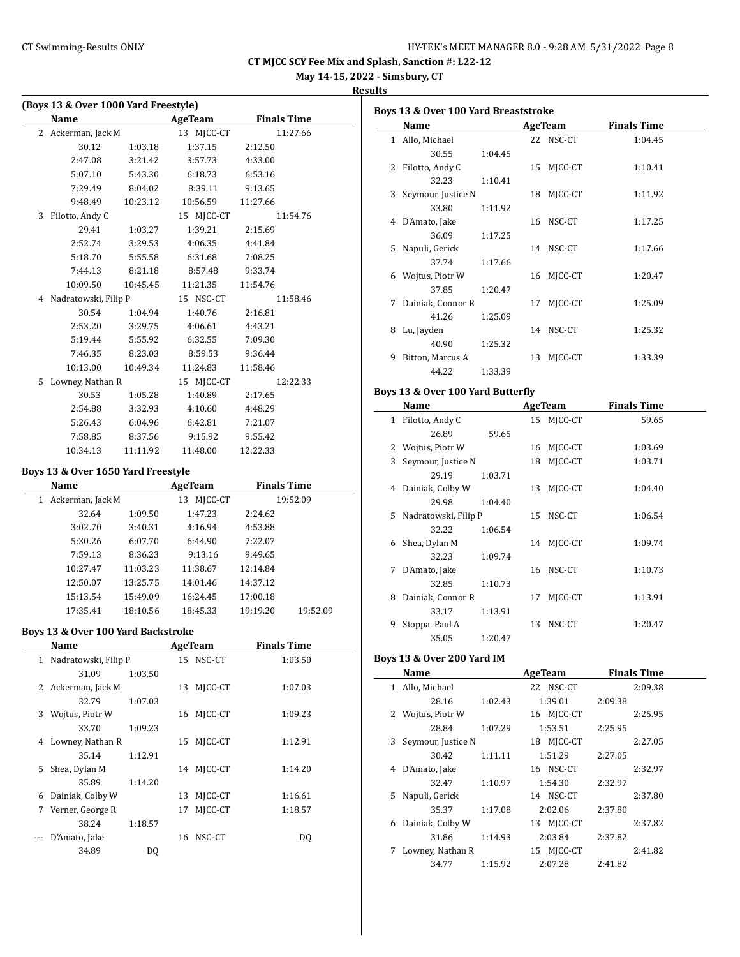**May 14-15, 2022 - Simsbury, CT**

# **Results**

|    | (Boys 13 & Over 1000 Yard Freestyle) |          |                     |                    |          |  |  |  |
|----|--------------------------------------|----------|---------------------|--------------------|----------|--|--|--|
|    | Name                                 |          | AgeTeam             | <b>Finals Time</b> |          |  |  |  |
|    | 2 Ackerman, Jack M                   |          | 13 MJCC-CT          |                    | 11:27.66 |  |  |  |
|    | 30.12                                | 1:03.18  | 1:37.15             | 2:12.50            |          |  |  |  |
|    | 2:47.08                              | 3:21.42  | 3:57.73             | 4:33.00            |          |  |  |  |
|    | 5:07.10                              | 5:43.30  | 6:18.73             | 6:53.16            |          |  |  |  |
|    | 7:29.49                              | 8:04.02  | 8:39.11             | 9:13.65            |          |  |  |  |
|    | 9:48.49                              | 10:23.12 | 10:56.59            | 11:27.66           |          |  |  |  |
| 3  | Filotto, Andy C                      |          | 15 MJCC-CT          |                    | 11:54.76 |  |  |  |
|    | 29.41                                | 1:03.27  | 1:39.21             | 2:15.69            |          |  |  |  |
|    | 2:52.74                              | 3:29.53  | 4:06.35             | 4:41.84            |          |  |  |  |
|    | 5:18.70                              | 5:55.58  | 6:31.68             | 7:08.25            |          |  |  |  |
|    | 7:44.13                              | 8:21.18  | 8:57.48             | 9:33.74            |          |  |  |  |
|    | 10:09.50                             |          | 10:45.45   11:21.35 | 11:54.76           |          |  |  |  |
| 4  | Nadratowski, Filip P                 |          | 15 NSC-CT           |                    | 11:58.46 |  |  |  |
|    | 30.54                                | 1:04.94  | 1:40.76             | 2:16.81            |          |  |  |  |
|    | 2:53.20                              | 3:29.75  | 4:06.61             | 4:43.21            |          |  |  |  |
|    | 5:19.44                              | 5:55.92  | 6:32.55             | 7:09.30            |          |  |  |  |
|    | 7:46.35                              | 8:23.03  | 8:59.53             | 9:36.44            |          |  |  |  |
|    | 10:13.00                             | 10:49.34 | 11:24.83            | 11:58.46           |          |  |  |  |
| 5. | Lowney, Nathan R                     |          | 15 MICC-CT          |                    | 12:22.33 |  |  |  |
|    | 30.53                                | 1:05.28  | 1:40.89             | 2:17.65            |          |  |  |  |
|    | 2:54.88                              | 3:32.93  | 4:10.60             | 4:48.29            |          |  |  |  |
|    | 5:26.43                              | 6:04.96  | 6:42.81             | 7:21.07            |          |  |  |  |
|    | 7:58.85                              | 8:37.56  | 9:15.92             | 9:55.42            |          |  |  |  |
|    | 10:34.13                             | 11:11.92 | 11:48.00            | 12:22.33           |          |  |  |  |

# **Boys 13 & Over 1650 Yard Freestyle**

|   | Name             | AgeTeam  |               | <b>Finals Time</b>   |  |
|---|------------------|----------|---------------|----------------------|--|
| 1 | Ackerman, Jack M |          | MICC-CT<br>13 | 19:52.09             |  |
|   | 32.64            | 1:09.50  | 1:47.23       | 2:24.62              |  |
|   | 3:02.70          | 3:40.31  | 4:16.94       | 4:53.88              |  |
|   | 5:30.26          | 6:07.70  | 6:44.90       | 7:22.07              |  |
|   | 7:59.13          | 8:36.23  | 9:13.16       | 9:49.65              |  |
|   | 10:27.47         | 11:03.23 | 11:38.67      | 12:14.84             |  |
|   | 12:50.07         | 13:25.75 | 14:01.46      | 14:37.12             |  |
|   | 15:13.54         | 15:49.09 | 16:24.45      | 17:00.18             |  |
|   | 17:35.41         | 18:10.56 | 18:45.33      | 19:19.20<br>19:52.09 |  |

# **Boys 13 & Over 100 Yard Backstroke**

|              | Name                 |         |    | <b>AgeTeam</b> | <b>Finals Time</b> |  |
|--------------|----------------------|---------|----|----------------|--------------------|--|
| $\mathbf{1}$ | Nadratowski, Filip P |         |    | 15 NSC-CT      | 1:03.50            |  |
|              | 31.09                | 1:03.50 |    |                |                    |  |
|              | 2 Ackerman, Jack M   |         | 13 | MICC-CT        | 1:07.03            |  |
|              | 32.79                | 1:07.03 |    |                |                    |  |
| 3            | Wojtus, Piotr W      |         | 16 | MICC-CT        | 1:09.23            |  |
|              | 33.70                | 1:09.23 |    |                |                    |  |
| 4            | Lowney, Nathan R     |         | 15 | MICC-CT        | 1:12.91            |  |
|              | 35.14                | 1:12.91 |    |                |                    |  |
| 5.           | Shea, Dylan M        |         | 14 | MICC-CT        | 1:14.20            |  |
|              | 35.89                | 1:14.20 |    |                |                    |  |
| 6            | Dainiak, Colby W     |         | 13 | MICC-CT        | 1:16.61            |  |
| 7            | Verner, George R     |         | 17 | MICC-CT        | 1:18.57            |  |
|              | 38.24                | 1:18.57 |    |                |                    |  |
|              | D'Amato, Jake        |         | 16 | NSC-CT         | DQ                 |  |
|              | 34.89                | DQ      |    |                |                    |  |

|    | Boys 13 & Over 100 Yard Breaststroke |         |    |            |                    |  |  |  |  |
|----|--------------------------------------|---------|----|------------|--------------------|--|--|--|--|
|    | Name                                 |         |    | AgeTeam    | <b>Finals Time</b> |  |  |  |  |
|    | 1 Allo, Michael                      |         |    | 22 NSC-CT  | 1:04.45            |  |  |  |  |
|    | 30.55                                | 1:04.45 |    |            |                    |  |  |  |  |
| 2  | Filotto, Andy C                      |         | 15 | MJCC-CT    | 1:10.41            |  |  |  |  |
|    | 32.23                                | 1:10.41 |    |            |                    |  |  |  |  |
|    | 3 Seymour, Justice N                 |         | 18 | MJCC-CT    | 1:11.92            |  |  |  |  |
|    | 33.80                                | 1:11.92 |    |            |                    |  |  |  |  |
| 4  | D'Amato, Jake                        |         |    | 16 NSC-CT  | 1:17.25            |  |  |  |  |
|    | 36.09                                | 1:17.25 |    |            |                    |  |  |  |  |
| 5. | Napuli, Gerick                       |         |    | 14 NSC-CT  | 1:17.66            |  |  |  |  |
|    | 37.74                                | 1:17.66 |    |            |                    |  |  |  |  |
| 6  | Wojtus, Piotr W                      |         |    | 16 MJCC-CT | 1:20.47            |  |  |  |  |
|    | 37.85                                | 1:20.47 |    |            |                    |  |  |  |  |
| 7  | Dainiak, Connor R                    |         | 17 | MJCC-CT    | 1:25.09            |  |  |  |  |
|    | 41.26                                | 1:25.09 |    |            |                    |  |  |  |  |
| 8  | Lu, Jayden                           |         |    | 14 NSC-CT  | 1:25.32            |  |  |  |  |
|    | 40.90                                | 1:25.32 |    |            |                    |  |  |  |  |
| 9  | Bitton, Marcus A                     |         | 13 | MJCC-CT    | 1:33.39            |  |  |  |  |
|    | 44.22                                | 1:33.39 |    |            |                    |  |  |  |  |

# **Boys 13 & Over 100 Yard Butterfly**

|              | Name                 |         |    | AgeTeam    | <b>Finals Time</b> |  |
|--------------|----------------------|---------|----|------------|--------------------|--|
| $\mathbf{1}$ | Filotto, Andy C      |         |    | 15 MJCC-CT | 59.65              |  |
|              | 26.89                | 59.65   |    |            |                    |  |
|              | 2 Wojtus, Piotr W    |         | 16 | MJCC-CT    | 1:03.69            |  |
| 3            | Seymour, Justice N   |         | 18 | MICC-CT    | 1:03.71            |  |
|              | 29.19                | 1:03.71 |    |            |                    |  |
| 4            | Dainiak, Colby W     |         | 13 | MICC-CT    | 1:04.40            |  |
|              | 29.98                | 1:04.40 |    |            |                    |  |
| 5.           | Nadratowski, Filip P |         |    | 15 NSC-CT  | 1:06.54            |  |
|              | 32.22                | 1:06.54 |    |            |                    |  |
| 6            | Shea, Dylan M        |         |    | 14 MJCC-CT | 1:09.74            |  |
|              | 32.23                | 1:09.74 |    |            |                    |  |
| 7            | D'Amato, Jake        |         | 16 | NSC-CT     | 1:10.73            |  |
|              | 32.85                | 1:10.73 |    |            |                    |  |
| 8            | Dainiak, Connor R    |         | 17 | MICC-CT    | 1:13.91            |  |
|              | 33.17                | 1:13.91 |    |            |                    |  |
| 9            | Stoppa, Paul A       |         | 13 | NSC-CT     | 1:20.47            |  |
|              | 35.05                | 1:20.47 |    |            |                    |  |

# **Boys 13 & Over 200 Yard IM**

|    | Name                 |         | AgeTeam    | <b>Finals Time</b> |
|----|----------------------|---------|------------|--------------------|
| 1  | Allo, Michael        |         | 22 NSC-CT  | 2:09.38            |
|    | 28.16                | 1:02.43 | 1:39.01    | 2:09.38            |
|    | 2 Wojtus, Piotr W    |         | 16 MICC-CT | 2:25.95            |
|    | 28.84                | 1:07.29 | 1:53.51    | 2:25.95            |
|    | 3 Seymour, Justice N |         | 18 MICC-CT | 2:27.05            |
|    | 30.42                | 1:11.11 | 1:51.29    | 2:27.05            |
| 4  | D'Amato, Jake        |         | 16 NSC-CT  | 2:32.97            |
|    | 32.47                | 1:10.97 | 1:54.30    | 2:32.97            |
| 5. | Napuli, Gerick       |         | 14 NSC-CT  | 2:37.80            |
|    | 35.37                | 1:17.08 | 2:02.06    | 2:37.80            |
| 6  | Dainiak, Colby W     |         | 13 MJCC-CT | 2:37.82            |
|    | 31.86                | 1:14.93 | 2:03.84    | 2:37.82            |
| 7  | Lowney, Nathan R     |         | 15 MICC-CT | 2:41.82            |
|    | 34.77                | 1:15.92 | 2:07.28    | 2:41.82            |